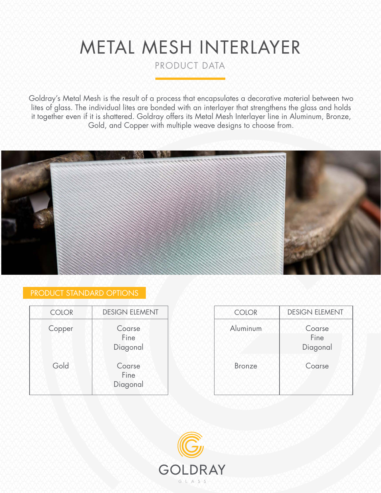# METAL MESH INTERLAYER

PRODUCT DATA

Goldray's Metal Mesh is the result of a process that encapsulates a decorative material between two lites of glass. The individual lites are bonded with an interlayer that strengthens the glass and holds it together even if it is shattered. Goldray offers its Metal Mesh Interlayer line in Aluminum, Bronze, Gold, and Copper with multiple weave designs to choose from.



## PRODUCT STANDARD OPTIONS

| <b>DESIGN ELEMENT</b><br><b>COLOR</b> |  |  |  |
|---------------------------------------|--|--|--|
| Coarse<br>Fine<br>Diagonal            |  |  |  |
| Coarse<br>Fine<br>Diagonal            |  |  |  |
|                                       |  |  |  |

| <b>COLOR</b> | <b>DESIGN ELEMENT</b>      | <b>COLOR</b>  | <b>DESIGN ELEMENT</b>      |
|--------------|----------------------------|---------------|----------------------------|
| Copper       | Coarse<br>Fine<br>Diagonal | Aluminum      | Coarse<br>Fine<br>Diagonal |
| Gold         | Coarse<br>Fine<br>Diagonal | <b>Bronze</b> | Coarse                     |